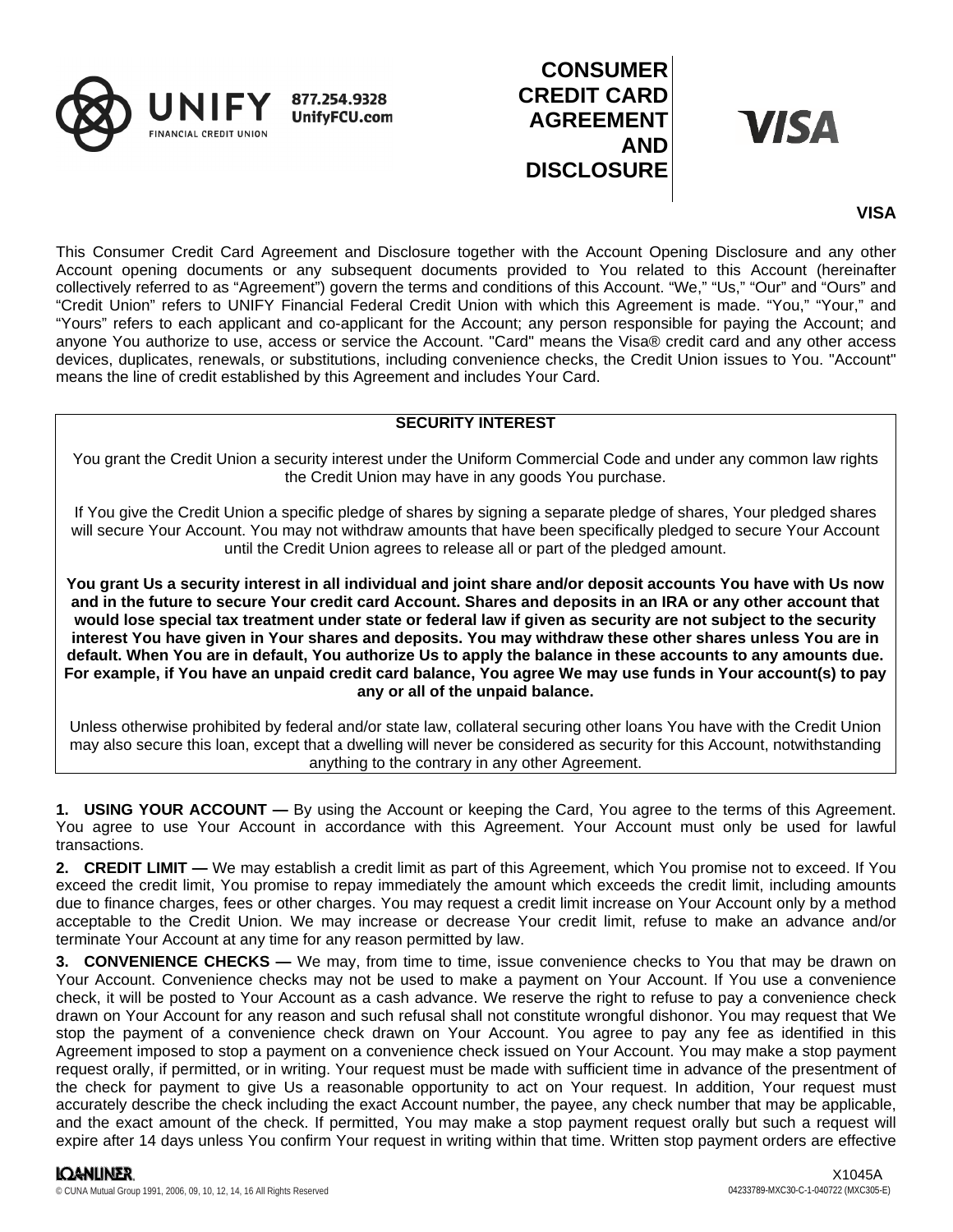

# **CONSUMER CREDIT CARD AGREEMENT AND DISCLOSURE**

**VISA** 

# **VISA**

This Consumer Credit Card Agreement and Disclosure together with the Account Opening Disclosure and any other Account opening documents or any subsequent documents provided to You related to this Account (hereinafter collectively referred to as "Agreement") govern the terms and conditions of this Account. "We," "Us," "Our" and "Ours" and "Credit Union" refers to UNIFY Financial Federal Credit Union with which this Agreement is made. "You," "Your," and "Yours" refers to each applicant and co-applicant for the Account; any person responsible for paying the Account; and anyone You authorize to use, access or service the Account. "Card" means the Visa® credit card and any other access devices, duplicates, renewals, or substitutions, including convenience checks, the Credit Union issues to You. "Account" means the line of credit established by this Agreement and includes Your Card.

### **SECURITY INTEREST**

You grant the Credit Union a security interest under the Uniform Commercial Code and under any common law rights the Credit Union may have in any goods You purchase.

If You give the Credit Union a specific pledge of shares by signing a separate pledge of shares, Your pledged shares will secure Your Account. You may not withdraw amounts that have been specifically pledged to secure Your Account until the Credit Union agrees to release all or part of the pledged amount.

**You grant Us a security interest in all individual and joint share and/or deposit accounts You have with Us now and in the future to secure Your credit card Account. Shares and deposits in an IRA or any other account that would lose special tax treatment under state or federal law if given as security are not subject to the security interest You have given in Your shares and deposits. You may withdraw these other shares unless You are in default. When You are in default, You authorize Us to apply the balance in these accounts to any amounts due. For example, if You have an unpaid credit card balance, You agree We may use funds in Your account(s) to pay any or all of the unpaid balance.**

Unless otherwise prohibited by federal and/or state law, collateral securing other loans You have with the Credit Union may also secure this loan, except that a dwelling will never be considered as security for this Account, notwithstanding anything to the contrary in any other Agreement.

**1. USING YOUR ACCOUNT —** By using the Account or keeping the Card, You agree to the terms of this Agreement. You agree to use Your Account in accordance with this Agreement. Your Account must only be used for lawful transactions.

**2. CREDIT LIMIT —** We may establish a credit limit as part of this Agreement, which You promise not to exceed. If You exceed the credit limit, You promise to repay immediately the amount which exceeds the credit limit, including amounts due to finance charges, fees or other charges. You may request a credit limit increase on Your Account only by a method acceptable to the Credit Union. We may increase or decrease Your credit limit, refuse to make an advance and/or terminate Your Account at any time for any reason permitted by law.

**3. CONVENIENCE CHECKS —** We may, from time to time, issue convenience checks to You that may be drawn on Your Account. Convenience checks may not be used to make a payment on Your Account. If You use a convenience check, it will be posted to Your Account as a cash advance. We reserve the right to refuse to pay a convenience check drawn on Your Account for any reason and such refusal shall not constitute wrongful dishonor. You may request that We stop the payment of a convenience check drawn on Your Account. You agree to pay any fee as identified in this Agreement imposed to stop a payment on a convenience check issued on Your Account. You may make a stop payment request orally, if permitted, or in writing. Your request must be made with sufficient time in advance of the presentment of the check for payment to give Us a reasonable opportunity to act on Your request. In addition, Your request must accurately describe the check including the exact Account number, the payee, any check number that may be applicable, and the exact amount of the check. If permitted, You may make a stop payment request orally but such a request will expire after 14 days unless You confirm Your request in writing within that time. Written stop payment orders are effective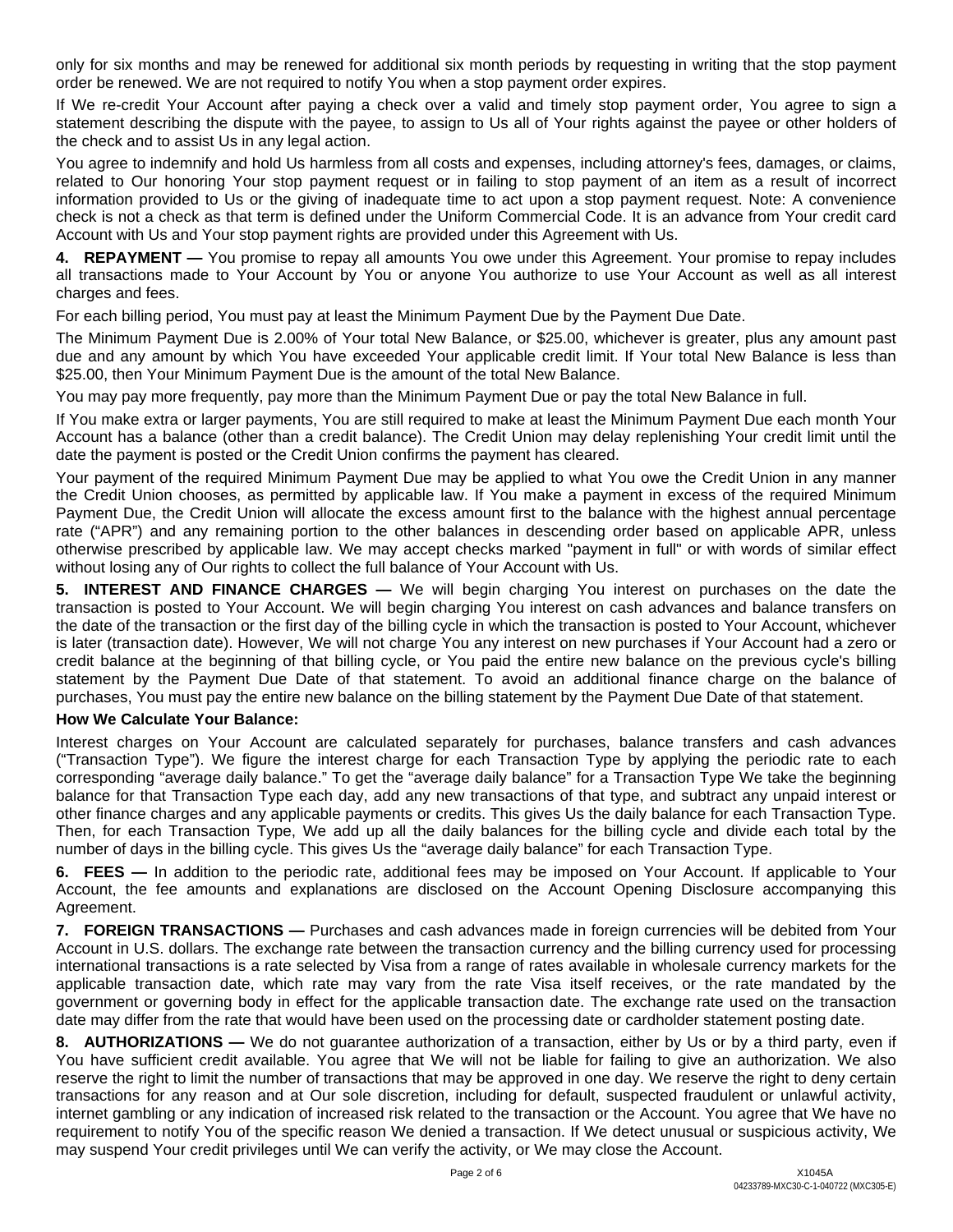only for six months and may be renewed for additional six month periods by requesting in writing that the stop payment order be renewed. We are not required to notify You when a stop payment order expires.

If We re-credit Your Account after paying a check over a valid and timely stop payment order, You agree to sign a statement describing the dispute with the payee, to assign to Us all of Your rights against the payee or other holders of the check and to assist Us in any legal action.

You agree to indemnify and hold Us harmless from all costs and expenses, including attorney's fees, damages, or claims, related to Our honoring Your stop payment request or in failing to stop payment of an item as a result of incorrect information provided to Us or the giving of inadequate time to act upon a stop payment request. Note: A convenience check is not a check as that term is defined under the Uniform Commercial Code. It is an advance from Your credit card Account with Us and Your stop payment rights are provided under this Agreement with Us.

**4. REPAYMENT —** You promise to repay all amounts You owe under this Agreement. Your promise to repay includes all transactions made to Your Account by You or anyone You authorize to use Your Account as well as all interest charges and fees.

For each billing period, You must pay at least the Minimum Payment Due by the Payment Due Date.

The Minimum Payment Due is 2.00% of Your total New Balance, or \$25.00, whichever is greater, plus any amount past due and any amount by which You have exceeded Your applicable credit limit. If Your total New Balance is less than \$25.00, then Your Minimum Payment Due is the amount of the total New Balance.

You may pay more frequently, pay more than the Minimum Payment Due or pay the total New Balance in full.

If You make extra or larger payments, You are still required to make at least the Minimum Payment Due each month Your Account has a balance (other than a credit balance). The Credit Union may delay replenishing Your credit limit until the date the payment is posted or the Credit Union confirms the payment has cleared.

Your payment of the required Minimum Payment Due may be applied to what You owe the Credit Union in any manner the Credit Union chooses, as permitted by applicable law. If You make a payment in excess of the required Minimum Payment Due, the Credit Union will allocate the excess amount first to the balance with the highest annual percentage rate ("APR") and any remaining portion to the other balances in descending order based on applicable APR, unless otherwise prescribed by applicable law. We may accept checks marked "payment in full" or with words of similar effect without losing any of Our rights to collect the full balance of Your Account with Us.

**5. INTEREST AND FINANCE CHARGES —** We will begin charging You interest on purchases on the date the transaction is posted to Your Account. We will begin charging You interest on cash advances and balance transfers on the date of the transaction or the first day of the billing cycle in which the transaction is posted to Your Account, whichever is later (transaction date). However, We will not charge You any interest on new purchases if Your Account had a zero or credit balance at the beginning of that billing cycle, or You paid the entire new balance on the previous cycle's billing statement by the Payment Due Date of that statement. To avoid an additional finance charge on the balance of purchases, You must pay the entire new balance on the billing statement by the Payment Due Date of that statement.

#### **How We Calculate Your Balance:**

Interest charges on Your Account are calculated separately for purchases, balance transfers and cash advances ("Transaction Type"). We figure the interest charge for each Transaction Type by applying the periodic rate to each corresponding "average daily balance." To get the "average daily balance" for a Transaction Type We take the beginning balance for that Transaction Type each day, add any new transactions of that type, and subtract any unpaid interest or other finance charges and any applicable payments or credits. This gives Us the daily balance for each Transaction Type. Then, for each Transaction Type, We add up all the daily balances for the billing cycle and divide each total by the number of days in the billing cycle. This gives Us the "average daily balance" for each Transaction Type.

**6. FEES —** In addition to the periodic rate, additional fees may be imposed on Your Account. If applicable to Your Account, the fee amounts and explanations are disclosed on the Account Opening Disclosure accompanying this Agreement.

**7. FOREIGN TRANSACTIONS —** Purchases and cash advances made in foreign currencies will be debited from Your Account in U.S. dollars. The exchange rate between the transaction currency and the billing currency used for processing international transactions is a rate selected by Visa from a range of rates available in wholesale currency markets for the applicable transaction date, which rate may vary from the rate Visa itself receives, or the rate mandated by the government or governing body in effect for the applicable transaction date. The exchange rate used on the transaction date may differ from the rate that would have been used on the processing date or cardholder statement posting date.

**8. AUTHORIZATIONS —** We do not guarantee authorization of a transaction, either by Us or by a third party, even if You have sufficient credit available. You agree that We will not be liable for failing to give an authorization. We also reserve the right to limit the number of transactions that may be approved in one day. We reserve the right to deny certain transactions for any reason and at Our sole discretion, including for default, suspected fraudulent or unlawful activity, internet gambling or any indication of increased risk related to the transaction or the Account. You agree that We have no requirement to notify You of the specific reason We denied a transaction. If We detect unusual or suspicious activity, We may suspend Your credit privileges until We can verify the activity, or We may close the Account.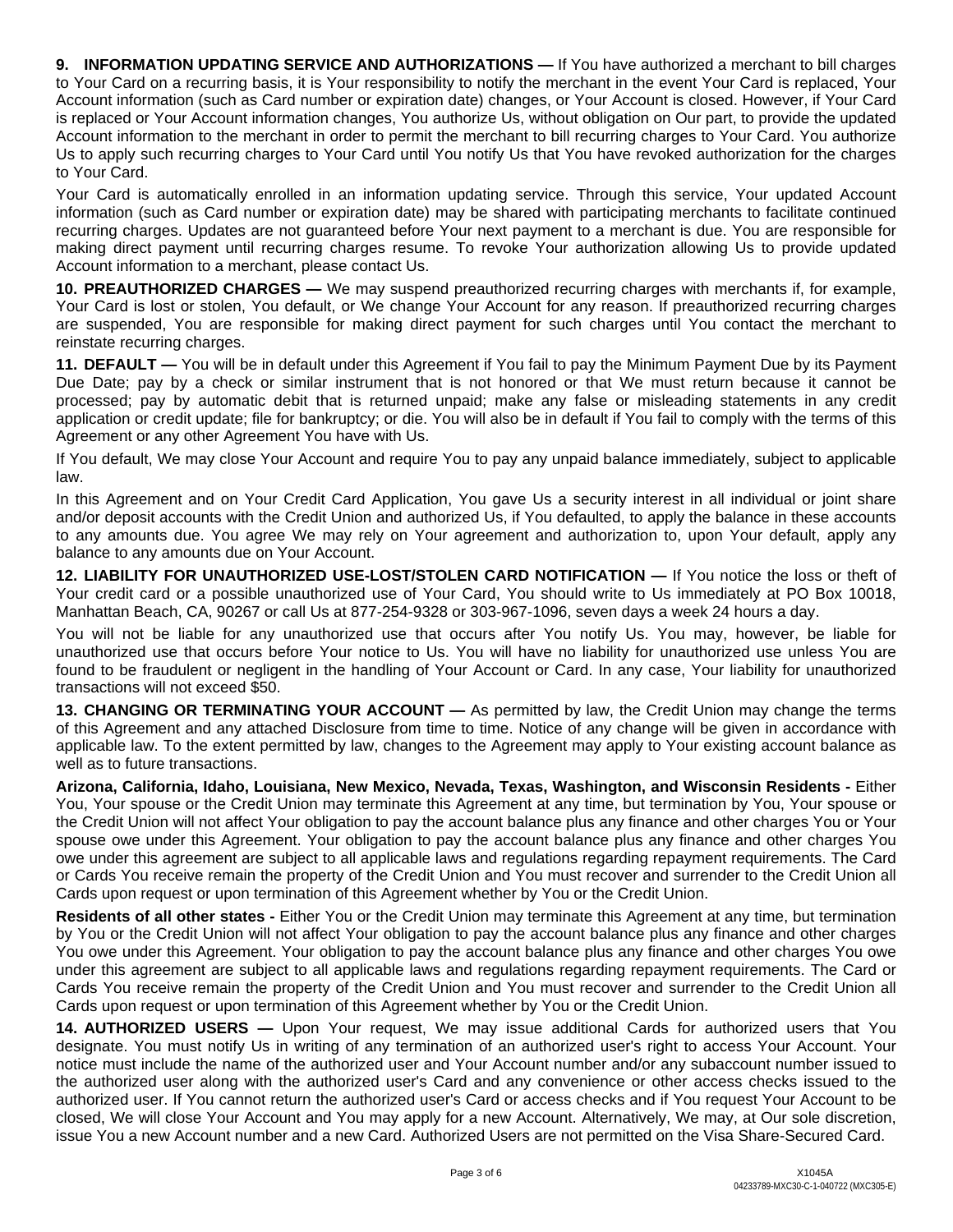**9. INFORMATION UPDATING SERVICE AND AUTHORIZATIONS —** If You have authorized a merchant to bill charges to Your Card on a recurring basis, it is Your responsibility to notify the merchant in the event Your Card is replaced, Your Account information (such as Card number or expiration date) changes, or Your Account is closed. However, if Your Card is replaced or Your Account information changes, You authorize Us, without obligation on Our part, to provide the updated Account information to the merchant in order to permit the merchant to bill recurring charges to Your Card. You authorize Us to apply such recurring charges to Your Card until You notify Us that You have revoked authorization for the charges to Your Card.

Your Card is automatically enrolled in an information updating service. Through this service, Your updated Account information (such as Card number or expiration date) may be shared with participating merchants to facilitate continued recurring charges. Updates are not guaranteed before Your next payment to a merchant is due. You are responsible for making direct payment until recurring charges resume. To revoke Your authorization allowing Us to provide updated Account information to a merchant, please contact Us.

**10. PREAUTHORIZED CHARGES —** We may suspend preauthorized recurring charges with merchants if, for example, Your Card is lost or stolen, You default, or We change Your Account for any reason. If preauthorized recurring charges are suspended, You are responsible for making direct payment for such charges until You contact the merchant to reinstate recurring charges.

**11. DEFAULT —** You will be in default under this Agreement if You fail to pay the Minimum Payment Due by its Payment Due Date; pay by a check or similar instrument that is not honored or that We must return because it cannot be processed; pay by automatic debit that is returned unpaid; make any false or misleading statements in any credit application or credit update; file for bankruptcy; or die. You will also be in default if You fail to comply with the terms of this Agreement or any other Agreement You have with Us.

If You default, We may close Your Account and require You to pay any unpaid balance immediately, subject to applicable law.

In this Agreement and on Your Credit Card Application, You gave Us a security interest in all individual or joint share and/or deposit accounts with the Credit Union and authorized Us, if You defaulted, to apply the balance in these accounts to any amounts due. You agree We may rely on Your agreement and authorization to, upon Your default, apply any balance to any amounts due on Your Account.

**12. LIABILITY FOR UNAUTHORIZED USE-LOST/STOLEN CARD NOTIFICATION —** If You notice the loss or theft of Your credit card or a possible unauthorized use of Your Card, You should write to Us immediately at PO Box 10018, Manhattan Beach, CA, 90267 or call Us at 877-254-9328 or 303-967-1096, seven days a week 24 hours a day.

You will not be liable for any unauthorized use that occurs after You notify Us. You may, however, be liable for unauthorized use that occurs before Your notice to Us. You will have no liability for unauthorized use unless You are found to be fraudulent or negligent in the handling of Your Account or Card. In any case, Your liability for unauthorized transactions will not exceed \$50.

**13. CHANGING OR TERMINATING YOUR ACCOUNT —** As permitted by law, the Credit Union may change the terms of this Agreement and any attached Disclosure from time to time. Notice of any change will be given in accordance with applicable law. To the extent permitted by law, changes to the Agreement may apply to Your existing account balance as well as to future transactions.

**Arizona, California, Idaho, Louisiana, New Mexico, Nevada, Texas, Washington, and Wisconsin Residents -** Either You, Your spouse or the Credit Union may terminate this Agreement at any time, but termination by You, Your spouse or the Credit Union will not affect Your obligation to pay the account balance plus any finance and other charges You or Your spouse owe under this Agreement. Your obligation to pay the account balance plus any finance and other charges You owe under this agreement are subject to all applicable laws and regulations regarding repayment requirements. The Card or Cards You receive remain the property of the Credit Union and You must recover and surrender to the Credit Union all Cards upon request or upon termination of this Agreement whether by You or the Credit Union.

**Residents of all other states -** Either You or the Credit Union may terminate this Agreement at any time, but termination by You or the Credit Union will not affect Your obligation to pay the account balance plus any finance and other charges You owe under this Agreement. Your obligation to pay the account balance plus any finance and other charges You owe under this agreement are subject to all applicable laws and regulations regarding repayment requirements. The Card or Cards You receive remain the property of the Credit Union and You must recover and surrender to the Credit Union all Cards upon request or upon termination of this Agreement whether by You or the Credit Union.

**14. AUTHORIZED USERS —** Upon Your request, We may issue additional Cards for authorized users that You designate. You must notify Us in writing of any termination of an authorized user's right to access Your Account. Your notice must include the name of the authorized user and Your Account number and/or any subaccount number issued to the authorized user along with the authorized user's Card and any convenience or other access checks issued to the authorized user. If You cannot return the authorized user's Card or access checks and if You request Your Account to be closed, We will close Your Account and You may apply for a new Account. Alternatively, We may, at Our sole discretion, issue You a new Account number and a new Card. Authorized Users are not permitted on the Visa Share-Secured Card.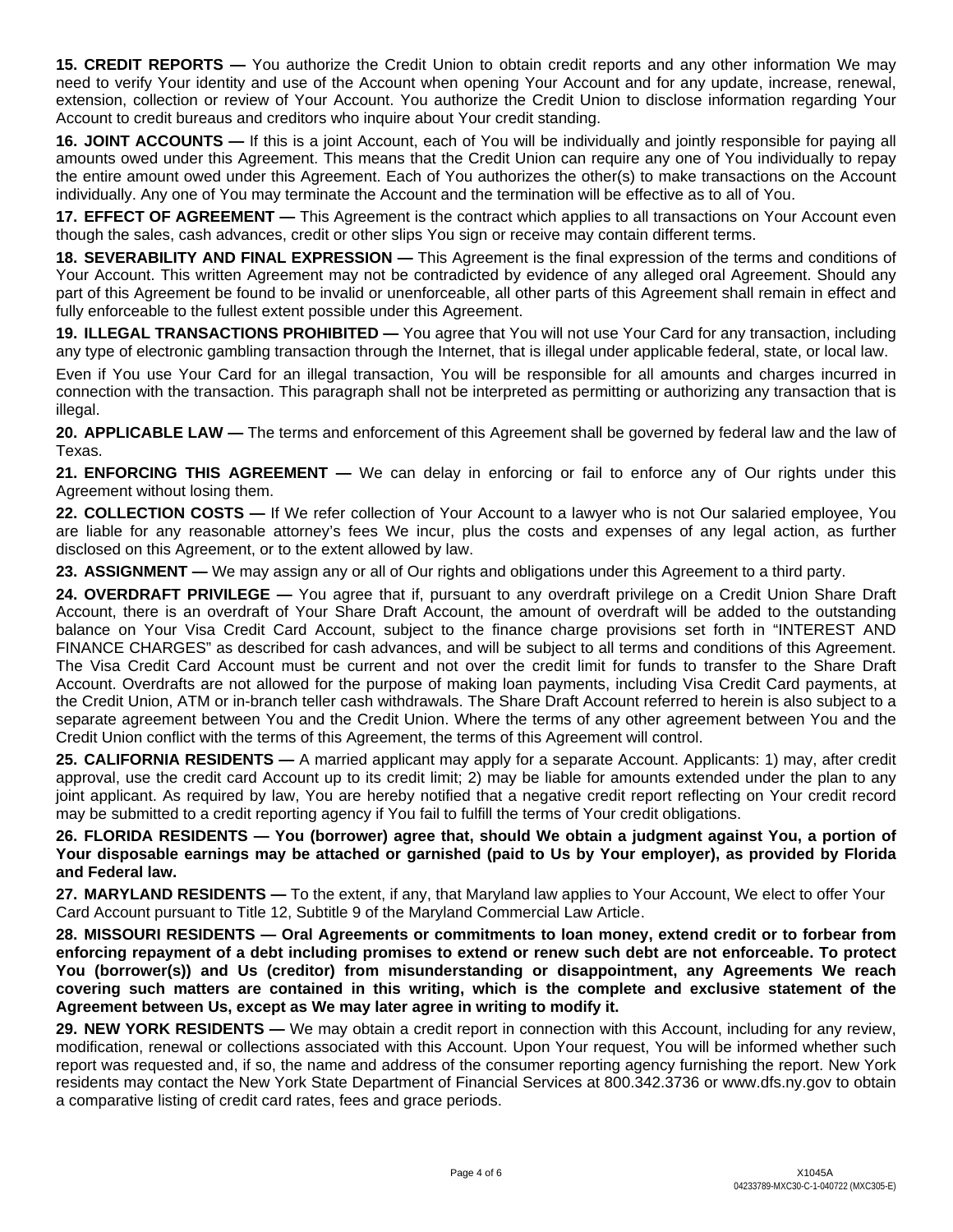**15. CREDIT REPORTS —** You authorize the Credit Union to obtain credit reports and any other information We may need to verify Your identity and use of the Account when opening Your Account and for any update, increase, renewal, extension, collection or review of Your Account. You authorize the Credit Union to disclose information regarding Your Account to credit bureaus and creditors who inquire about Your credit standing.

**16. JOINT ACCOUNTS —** If this is a joint Account, each of You will be individually and jointly responsible for paying all amounts owed under this Agreement. This means that the Credit Union can require any one of You individually to repay the entire amount owed under this Agreement. Each of You authorizes the other(s) to make transactions on the Account individually. Any one of You may terminate the Account and the termination will be effective as to all of You.

**17. EFFECT OF AGREEMENT —** This Agreement is the contract which applies to all transactions on Your Account even though the sales, cash advances, credit or other slips You sign or receive may contain different terms.

**18. SEVERABILITY AND FINAL EXPRESSION —** This Agreement is the final expression of the terms and conditions of Your Account. This written Agreement may not be contradicted by evidence of any alleged oral Agreement. Should any part of this Agreement be found to be invalid or unenforceable, all other parts of this Agreement shall remain in effect and fully enforceable to the fullest extent possible under this Agreement.

**19. ILLEGAL TRANSACTIONS PROHIBITED —** You agree that You will not use Your Card for any transaction, including any type of electronic gambling transaction through the Internet, that is illegal under applicable federal, state, or local law.

Even if You use Your Card for an illegal transaction, You will be responsible for all amounts and charges incurred in connection with the transaction. This paragraph shall not be interpreted as permitting or authorizing any transaction that is illegal.

**20. APPLICABLE LAW —** The terms and enforcement of this Agreement shall be governed by federal law and the law of Texas.

**21. ENFORCING THIS AGREEMENT —** We can delay in enforcing or fail to enforce any of Our rights under this Agreement without losing them.

**22. COLLECTION COSTS —** If We refer collection of Your Account to a lawyer who is not Our salaried employee, You are liable for any reasonable attorney's fees We incur, plus the costs and expenses of any legal action, as further disclosed on this Agreement, or to the extent allowed by law.

**23. ASSIGNMENT —** We may assign any or all of Our rights and obligations under this Agreement to a third party.

**24. OVERDRAFT PRIVILEGE —** You agree that if, pursuant to any overdraft privilege on a Credit Union Share Draft Account, there is an overdraft of Your Share Draft Account, the amount of overdraft will be added to the outstanding balance on Your Visa Credit Card Account, subject to the finance charge provisions set forth in "INTEREST AND FINANCE CHARGES" as described for cash advances, and will be subject to all terms and conditions of this Agreement. The Visa Credit Card Account must be current and not over the credit limit for funds to transfer to the Share Draft Account. Overdrafts are not allowed for the purpose of making loan payments, including Visa Credit Card payments, at the Credit Union, ATM or in-branch teller cash withdrawals. The Share Draft Account referred to herein is also subject to a separate agreement between You and the Credit Union. Where the terms of any other agreement between You and the Credit Union conflict with the terms of this Agreement, the terms of this Agreement will control.

**25. CALIFORNIA RESIDENTS —** A married applicant may apply for a separate Account. Applicants: 1) may, after credit approval, use the credit card Account up to its credit limit; 2) may be liable for amounts extended under the plan to any joint applicant. As required by law, You are hereby notified that a negative credit report reflecting on Your credit record may be submitted to a credit reporting agency if You fail to fulfill the terms of Your credit obligations.

**26. FLORIDA RESIDENTS — You (borrower) agree that, should We obtain a judgment against You, a portion of Your disposable earnings may be attached or garnished (paid to Us by Your employer), as provided by Florida and Federal law.**

**27. MARYLAND RESIDENTS —** To the extent, if any, that Maryland law applies to Your Account, We elect to offer Your Card Account pursuant to Title 12, Subtitle 9 of the Maryland Commercial Law Article.

**28. MISSOURI RESIDENTS — Oral Agreements or commitments to loan money, extend credit or to forbear from enforcing repayment of a debt including promises to extend or renew such debt are not enforceable. To protect You (borrower(s)) and Us (creditor) from misunderstanding or disappointment, any Agreements We reach covering such matters are contained in this writing, which is the complete and exclusive statement of the Agreement between Us, except as We may later agree in writing to modify it.**

**29. NEW YORK RESIDENTS —** We may obtain a credit report in connection with this Account, including for any review, modification, renewal or collections associated with this Account. Upon Your request, You will be informed whether such report was requested and, if so, the name and address of the consumer reporting agency furnishing the report. New York residents may contact the New York State Department of Financial Services at 800.342.3736 or www.dfs.ny.gov to obtain a comparative listing of credit card rates, fees and grace periods.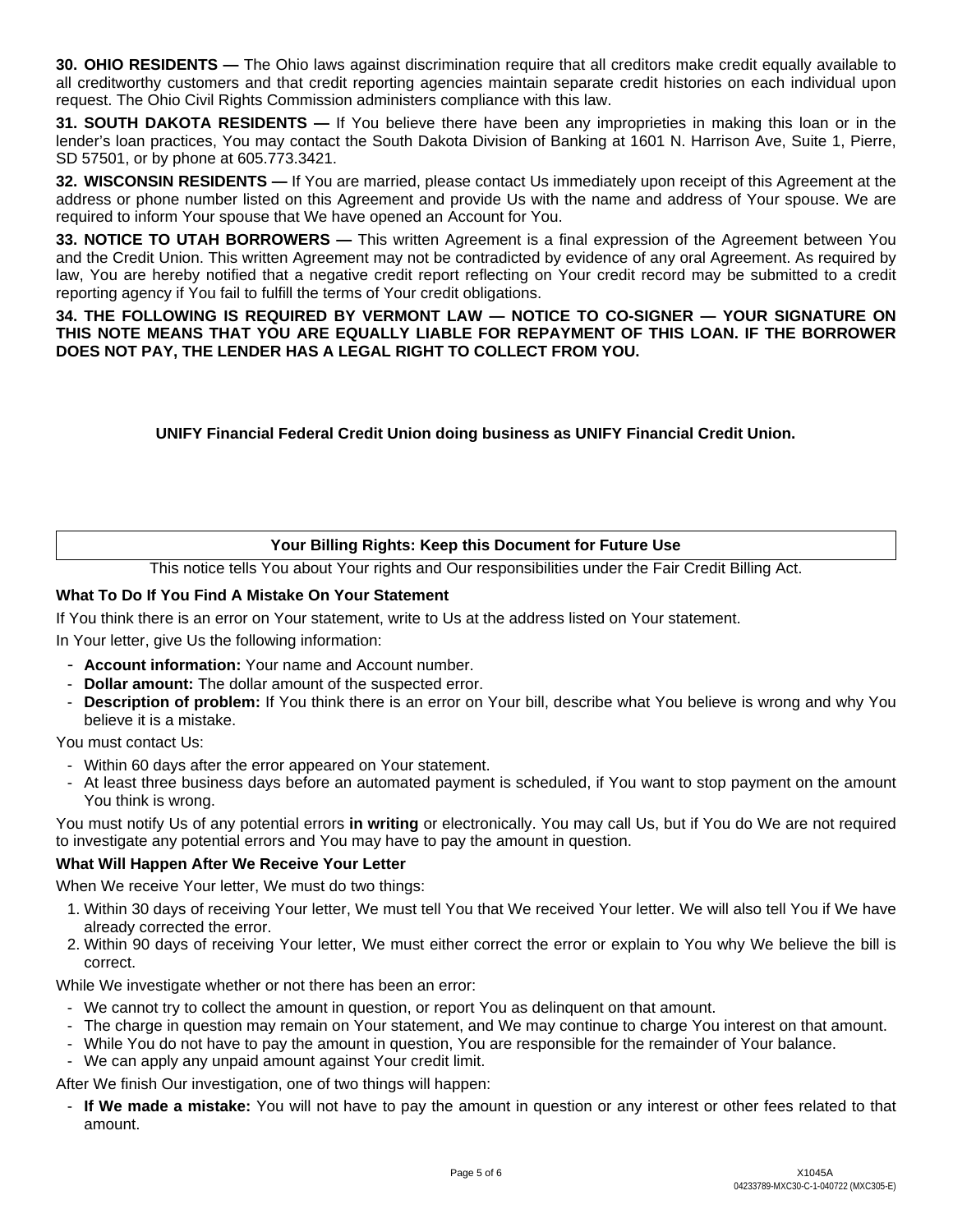**30. OHIO RESIDENTS** — The Ohio laws against discrimination require that all creditors make credit equally available to all creditworthy customers and that credit reporting agencies maintain separate credit histories on each individual upon request. The Ohio Civil Rights Commission administers compliance with this law.

**31. SOUTH DAKOTA RESIDENTS —** If You believe there have been any improprieties in making this loan or in the lender's loan practices, You may contact the South Dakota Division of Banking at 1601 N. Harrison Ave, Suite 1, Pierre, SD 57501, or by phone at 605.773.3421.

**32. WISCONSIN RESIDENTS —** If You are married, please contact Us immediately upon receipt of this Agreement at the address or phone number listed on this Agreement and provide Us with the name and address of Your spouse. We are required to inform Your spouse that We have opened an Account for You.

**33. NOTICE TO UTAH BORROWERS —** This written Agreement is a final expression of the Agreement between You and the Credit Union. This written Agreement may not be contradicted by evidence of any oral Agreement. As required by law, You are hereby notified that a negative credit report reflecting on Your credit record may be submitted to a credit reporting agency if You fail to fulfill the terms of Your credit obligations.

**34. THE FOLLOWING IS REQUIRED BY VERMONT LAW — NOTICE TO CO-SIGNER — YOUR SIGNATURE ON THIS NOTE MEANS THAT YOU ARE EQUALLY LIABLE FOR REPAYMENT OF THIS LOAN. IF THE BORROWER DOES NOT PAY, THE LENDER HAS A LEGAL RIGHT TO COLLECT FROM YOU.**

**UNIFY Financial Federal Credit Union doing business as UNIFY Financial Credit Union.**

# **Your Billing Rights: Keep this Document for Future Use**

This notice tells You about Your rights and Our responsibilities under the Fair Credit Billing Act.

## **What To Do If You Find A Mistake On Your Statement**

If You think there is an error on Your statement, write to Us at the address listed on Your statement.

In Your letter, give Us the following information:

- **Account information:** Your name and Account number.
- **Dollar amount:** The dollar amount of the suspected error.
- **Description of problem:** If You think there is an error on Your bill, describe what You believe is wrong and why You believe it is a mistake.

You must contact Us:

- Within 60 days after the error appeared on Your statement.
- At least three business days before an automated payment is scheduled, if You want to stop payment on the amount You think is wrong.

You must notify Us of any potential errors **in writing** or electronically. You may call Us, but if You do We are not required to investigate any potential errors and You may have to pay the amount in question.

#### **What Will Happen After We Receive Your Letter**

When We receive Your letter, We must do two things:

- 1. Within 30 days of receiving Your letter, We must tell You that We received Your letter. We will also tell You if We have already corrected the error.
- 2. Within 90 days of receiving Your letter, We must either correct the error or explain to You why We believe the bill is correct.

While We investigate whether or not there has been an error:

- We cannot try to collect the amount in question, or report You as delinquent on that amount.
- The charge in question may remain on Your statement, and We may continue to charge You interest on that amount.
- While You do not have to pay the amount in question, You are responsible for the remainder of Your balance.
- We can apply any unpaid amount against Your credit limit.

After We finish Our investigation, one of two things will happen:

- **If We made a mistake:** You will not have to pay the amount in question or any interest or other fees related to that amount.